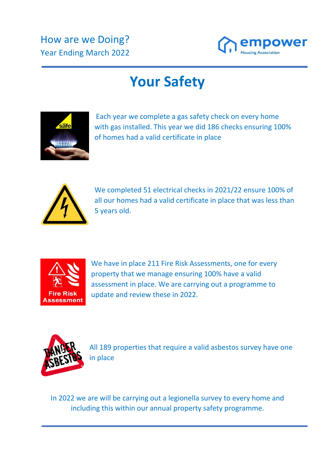

## **Your Safety**



Each year we complete a gas safety check on every home with gas installed. This year we did 186 checks ensuring 100% of homes had a valid certificate in place



We completed 51 electrical checks in 2021/22 ensure 100% of all our homes had a valid certificate in place that was less than 5 years old.



We have in place 211 Fire Risk Assessments, one for every property that we manage ensuring 100% have a valid assessment in place. We are carrying out a programme to update and review these in 2022.



All 189 properties that require a valid asbestos survey have one in place

In 2022 we are will be carrying out a legionella survey to every home and including this within our annual property safety programme.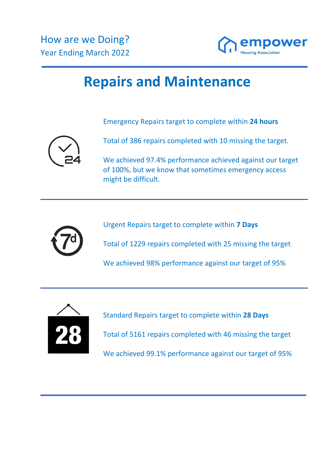

## **Repairs and Maintenance**

Emergency Repairs target to complete within **24 hours**



Total of 386 repairs completed with 10 missing the target.

We achieved 97.4% performance achieved against our target of 100%, but we know that sometimes emergency access might be difficult.



Urgent Repairs target to complete within **7 Days**

Total of 1229 repairs completed with 25 missing the target

We achieved 98% performance against our target of 95%



Standard Repairs target to complete within **28 Days** Total of 5161 repairs completed with 46 missing the target We achieved 99.1% performance against our target of 95%